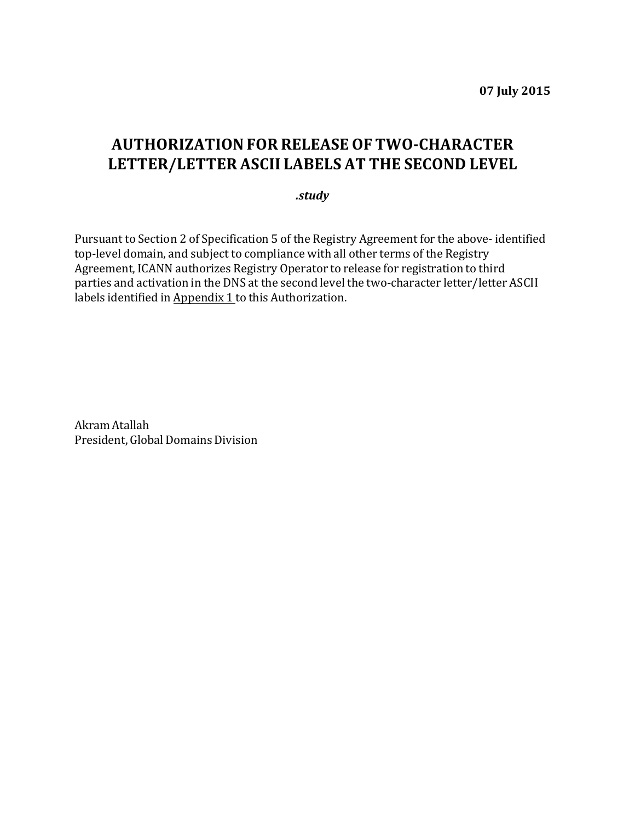**07 July 2015**

## **AUTHORIZATIONFOR RELEASE OF TWO-CHARACTER LETTER/LETTER ASCII LABELS AT THE SECOND LEVEL**

## *.study*

Pursuant to Section 2 of Specification 5 of the Registry Agreement for the above- identified top-level domain, and subject to compliance with all other terms of the Registry Agreement, ICANN authorizes Registry Operator to release for registration to third parties and activation in the DNS at the second level the two-character letter/letter ASCII labels identified in Appendix 1 to this Authorization.

Akram Atallah President, Global Domains Division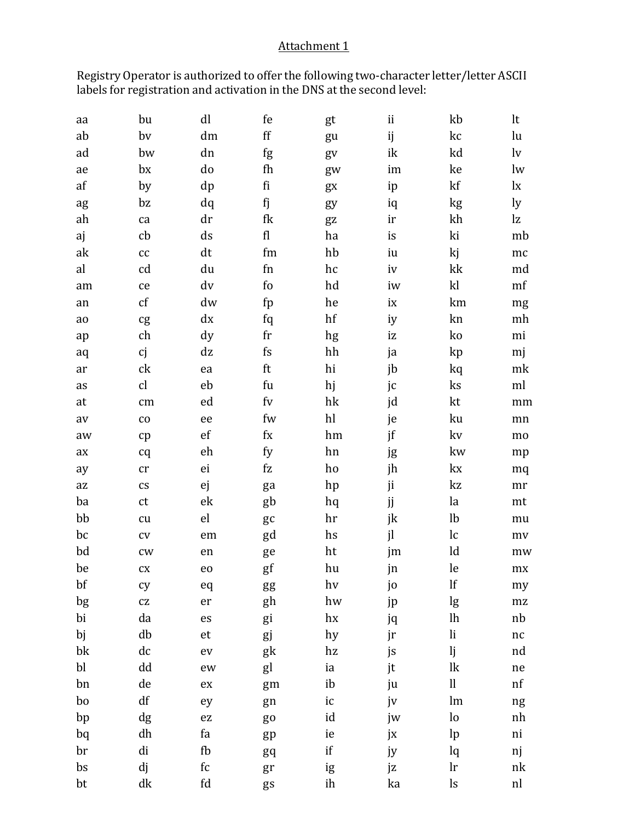## Attachment 1

Registry Operator is authorized to offer the following two-character letter/letter ASCII labels for registration and activation in the DNS at the second level:

| aa              | bu                         | dl                        | fe                                | gt                  | ii | kb                     | lt                                           |
|-----------------|----------------------------|---------------------------|-----------------------------------|---------------------|----|------------------------|----------------------------------------------|
| ab              | by                         | dm                        | $\operatorname{ff}$               | gu                  | ij | kc                     | lu                                           |
| ad              | bw                         | dn                        | fg                                | gv                  | ik | kd                     | $\mathbf{v}$                                 |
| ae              | bx                         | do                        | fh                                | gw                  | im | ke                     | lw                                           |
| af              | by                         | dp                        | fi                                | gx                  | ip | kf                     | $\mathbf{I}$                                 |
| ag              | bz                         | dq                        | fj                                | gy                  | iq | kg                     | ly                                           |
| ah              | ca                         | dr                        | fk                                | gz                  | ir | kh                     | lz                                           |
| aj              | cb                         | ds                        | f                                 | ha                  | is | ki                     | mb                                           |
| ak              | $\mathop{\rm CC}\nolimits$ | dt                        | fm                                | hb                  | iu | kj                     | $\rm mc$                                     |
| al              | cd                         | du                        | fn                                | $\,\mathrm{hc}$     | iv | kk                     | md                                           |
| am              | ce                         | dv                        | fo                                | hd                  | iw | kl                     | mf                                           |
| an              | cf                         | dw                        | fp                                | he                  | ix | km                     | mg                                           |
| ao              | cg                         | dx                        | fq                                | hf                  | iy | kn                     | mh                                           |
| ap              | ch                         | dy                        | fr                                | hg                  | iz | ko                     | mi                                           |
| aq              | cj                         | dz                        | fs                                | hh                  | ja | kp                     | mj                                           |
| ar              | ck                         | ea                        | ft                                | hi                  | jb | kq                     | mk                                           |
| as              | cl                         | eb                        | fu                                | hj                  | jc | ks                     | ml                                           |
| at              | cm                         | ed                        | fv                                | hk                  | jd | kt                     | mm                                           |
| av              | $\rm{co}$                  | ee                        | fw                                | hl                  | je | ku                     | mn                                           |
| aw              | cp                         | ef                        | $f_{\rm X}$                       | hm                  | jf | kv                     | mo                                           |
| ax              | cq                         | eh                        | fy                                | hn                  | jg | kw                     | mp                                           |
| ay              | $\operatorname{cr}$        | ei                        | fz                                | ho                  | jh | kx                     | mq                                           |
| $\overline{a}z$ | $\mathbb{C}\mathbb{S}$     | ej                        | ga                                | hp                  | ji | kz                     | mr                                           |
| ba              | ct                         | ek                        | gb                                | hq                  | jj | la                     | mt                                           |
| bb              | cu                         | el                        | gc                                | hr                  | jk | lb                     | mu                                           |
| bc              | ${\rm CV}$                 | em                        | gd                                | hs                  | jl | $\iota$                | mv                                           |
| bd              | ${\rm\bf CW}$              | en                        | ge                                | ht                  | jm | ld                     | mw                                           |
| be              | ${\rm cx}$                 | eo                        | gf                                | hu                  | jn | le                     | $\ensuremath{\text{m}}\ensuremath{\text{x}}$ |
| bf              | cy                         | eq                        | $g\ensuremath{\mathbf{g}}\xspace$ | hv                  | jo | lf                     | my                                           |
| bg              | CZ                         | er                        | gh                                | hw                  | jp | lg                     | $\ensuremath{\text{m}}\xspace$               |
| bi              | da                         | es                        | gi                                | hx                  | jq | lh                     | nb                                           |
| bj              | db                         | et                        | gj                                | hy                  | jr | $\rm{li}$              | $\operatorname{nc}$                          |
| bk              | dc                         | ev                        | g <sub>k</sub>                    | hz                  | js | lj                     | nd                                           |
| bl              | $\mathrm{d}\mathrm{d}$     | ew                        | gl                                | ia                  | jt | lk                     | $\,$ ne $\,$                                 |
| bn              | de                         | ${\sf ex}$                | gm                                | ib                  | ju | $\mathop{\mathrm{ll}}$ | nf                                           |
| bo              | $\mathrm{d}\mathrm{f}$     | ey                        | gn                                | ic                  | jv | lm                     | ng                                           |
| bp              | dg                         | $\mathop{\rm e}\nolimits$ | g <sub>0</sub>                    | id                  | jw | $\log$                 | nh                                           |
| bq              | dh                         | fa                        | gp                                | ie                  | jx | lp                     | ni                                           |
| br              | di                         | fb                        | gq                                | $\operatorname{if}$ | jy | lq                     | nj                                           |
| bs              | dj                         | $\operatorname{\sf fc}$   | gr                                | ig                  | jz | $\ln$                  | nk                                           |
| bt              | dk                         | fd                        | gs                                | ih                  | ka | $\lg$                  | nl                                           |